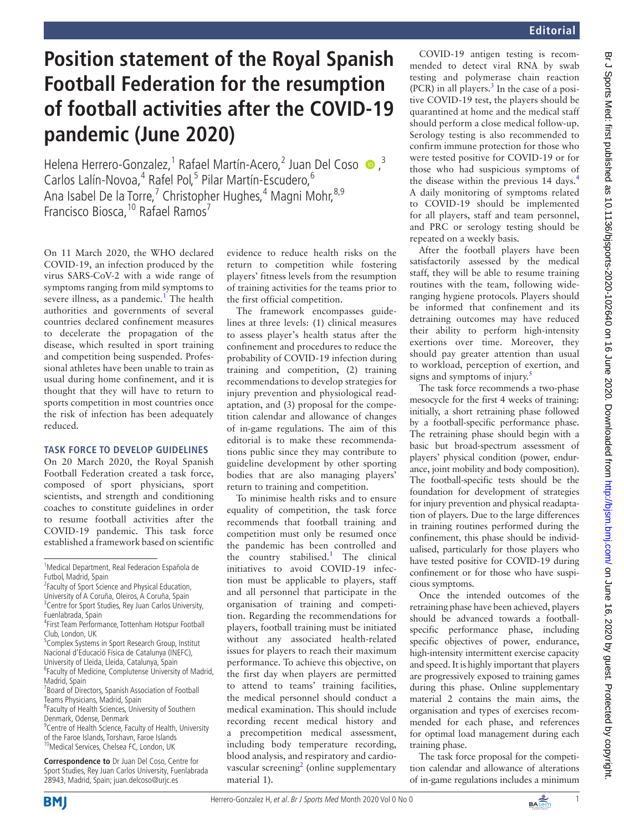## **Position statement of the Royal Spanish Football Federation for the resumption of football activities after the COVID-19 pandemic (June 2020)**

Helena Herrero-Gonzalez,<sup>1</sup> Rafael Martín-Acero,<sup>2</sup> Juan Del Coso  $\bullet$ ,<sup>3</sup> Carlos Lalín-Novoa,<sup>4</sup> Rafel Pol,<sup>5</sup> Pilar Martín-Escudero,<sup>6</sup> Ana Isabel De la Torre,<sup>7</sup> Christopher Hughes,<sup>4</sup> Magni Mohr,<sup>8,9</sup> Francisco Biosca, <sup>10</sup> Rafael Ramos<sup>7</sup>

On 11 March 2020, the WHO declared COVID-19, an infection produced by the virus SARS-CoV-2 with a wide range of symptoms ranging from mild symptoms to severe illness, as a pandemic.<sup>[1](#page-1-0)</sup> The health authorities and governments of several countries declared confinement measures to decelerate the propagation of the disease, which resulted in sport training and competition being suspended. Professional athletes have been unable to train as usual during home confinement, and it is thought that they will have to return to sports competition in most countries once the risk of infection has been adequately reduced.

## **Task force to develop guidelines**

On 20 March 2020, the Royal Spanish Football Federation created a task force, composed of sport physicians, sport scientists, and strength and conditioning coaches to constitute guidelines in order to resume football activities after the COVID-19 pandemic. This task force established a framework based on scientific

<sup>2</sup> Faculty of Sport Science and Physical Education, University of A Coruña, Oleiros, A Coruña, Spain

- <sup>5</sup> Complex Systems in Sport Research Group, Institut Nacional d'Educació Física de Catalunya (INEFC),
- University of Lleida, Lleida, Catalunya, Spain
- <sup>6</sup> Faculty of Medicine, Complutense University of Madrid, Madrid, Spain
- <sup>7</sup> Board of Directors, Spanish Association of Football Teams Physicians, Madrid, Spain
- <sup>8</sup> Faculty of Health Sciences, University of Southern Denmark, Odense, Denmark
- <sup>9</sup> Centre of Health Science, Faculty of Health, University of the Faroe Islands, Torshavn, Faroe Islands <sup>10</sup>Medical Services, Chelsea FC, London, UK

**Correspondence to** Dr Juan Del Coso, Centre for Sport Studies, Rey Juan Carlos University, Fuenlabrada 28943, Madrid, Spain; juan.delcoso@urjc.es

evidence to reduce health risks on the return to competition while fostering players' fitness levels from the resumption of training activities for the teams prior to the first official competition.

The framework encompasses guidelines at three levels: (1) clinical measures to assess player's health status after the confinement and procedures to reduce the probability of COVID-19 infection during training and competition, (2) training recommendations to develop strategies for injury prevention and physiological readaptation, and (3) proposal for the competition calendar and allowance of changes of in-game regulations. The aim of this editorial is to make these recommendations public since they may contribute to guideline development by other sporting bodies that are also managing players' return to training and competition.

To minimise health risks and to ensure equality of competition, the task force recommends that football training and competition must only be resumed once the pandemic has been controlled and the country stabilised.<sup>[1](#page-1-0)</sup> The clinical initiatives to avoid COVID-19 infection must be applicable to players, staff and all personnel that participate in the organisation of training and competition. Regarding the recommendations for players, football training must be initiated without any associated health-related issues for players to reach their maximum performance. To achieve this objective, on the first day when players are permitted to attend to teams' training facilities, the medical personnel should conduct a medical examination. This should include recording recent medical history and a precompetition medical assessment, including body temperature recording, blood analysis, and respiratory and cardio-vascular screening<sup>[2](#page-1-1)</sup> (online supplementary [material 1\)](https://dx.doi.org/10.1136/bjsports-2020-102640).

COVID-19 antigen testing is recommended to detect viral RNA by swab testing and polymerase chain reaction  $(PCR)$  in all players.<sup>[3](#page-1-2)</sup> In the case of a positive COVID-19 test, the players should be quarantined at home and the medical staff should perform a close medical follow-up. Serology testing is also recommended to confirm immune protection for those who were tested positive for COVID-19 or for those who had suspicious symptoms of the disease within the previous 1[4](#page-1-3) days.<sup>4</sup> A daily monitoring of symptoms related to COVID-19 should be implemented for all players, staff and team personnel, and PRC or serology testing should be repeated on a weekly basis.

After the football players have been satisfactorily assessed by the medical staff, they will be able to resume training routines with the team, following wideranging hygiene protocols. Players should be informed that confinement and its detraining outcomes may have reduced their ability to perform high-intensity exertions over time. Moreover, they should pay greater attention than usual to workload, perception of exertion, and signs and symptoms of injury. $\frac{5}{5}$ 

The task force recommends a two-phase mesocycle for the first 4 weeks of training: initially, a short retraining phase followed by a football-specific performance phase. The retraining phase should begin with a basic but broad-spectrum assessment of players' physical condition (power, endurance, joint mobility and body composition). The football-specific tests should be the foundation for development of strategies for injury prevention and physical readaptation of players. Due to the large differences in training routines performed during the confinement, this phase should be individualised, particularly for those players who have tested positive for COVID-19 during confinement or for those who have suspicious symptoms.

Once the intended outcomes of the retraining phase have been achieved, players should be advanced towards a footballspecific performance phase, including specific objectives of power, endurance, high-intensity intermittent exercise capacity and speed. It is highly important that players are progressively exposed to training games during this phase. [Online supplementary](https://dx.doi.org/10.1136/bjsports-2020-102640) [material 2](https://dx.doi.org/10.1136/bjsports-2020-102640) contains the main aims, the organisation and types of exercises recommended for each phase, and references for optimal load management during each training phase.

The task force proposal for the competition calendar and allowance of alterations of in-game regulations includes a minimum





<sup>&</sup>lt;sup>1</sup>Medical Department, Real Federacion Española de Futbol, Madrid, Spain

<sup>&</sup>lt;sup>3</sup> Centre for Sport Studies, Rey Juan Carlos University, Fuenlabrada, Spain

<sup>4</sup> First Team Performance, Tottenham Hotspur Football Club, London, UK